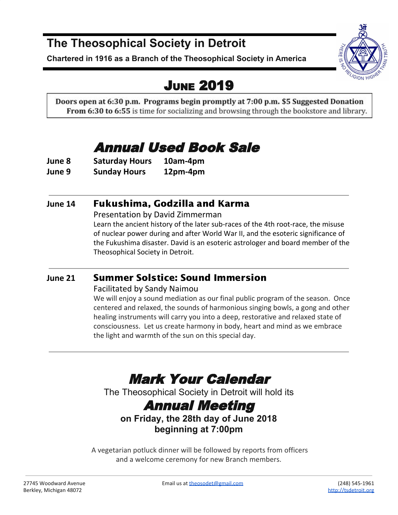### **The Theosophical Society in Detroit**

**Chartered in 1916 as a Branch of the Theosophical Society in America**

## JUNE 2019

Doors open at 6:30 p.m. Programs begin promptly at 7:00 p.m. \$5 Suggested Donation **From 6:30 to 6:55** is time for socializing and browsing through the bookstore and library.

## Annual Used Book Sale

**June 8 Saturday Hours 10am-4pm June 9 Sunday Hours 12pm-4pm**

### **June 14** Fukushima, Godzilla and Karma

Presentation by David Zimmerman

Learn the ancient history of the later sub-races of the 4th root-race, the misuse of nuclear power during and after World War II, and the esoteric significance of the Fukushima disaster. David is an esoteric astrologer and board member of the Theosophical Society in Detroit.

### **June 21** Summer Solstice: Sound Immersion

#### Facilitated by Sandy Naimou

We will enjoy a sound mediation as our final public program of the season. Once centered and relaxed, the sounds of harmonious singing bowls, a gong and other healing instruments will carry you into a deep, restorative and relaxed state of consciousness. Let us create harmony in body, heart and mind as we embrace the light and warmth of the sun on this special day.

## Mark Your Calendar

The Theosophical Society in Detroit will hold its

### Annual Meeting

**on Friday, the 28th day of June 2018 beginning at 7:00pm**

 A vegetarian potluck dinner will be followed by reports from officers and a welcome ceremony for new Branch members.